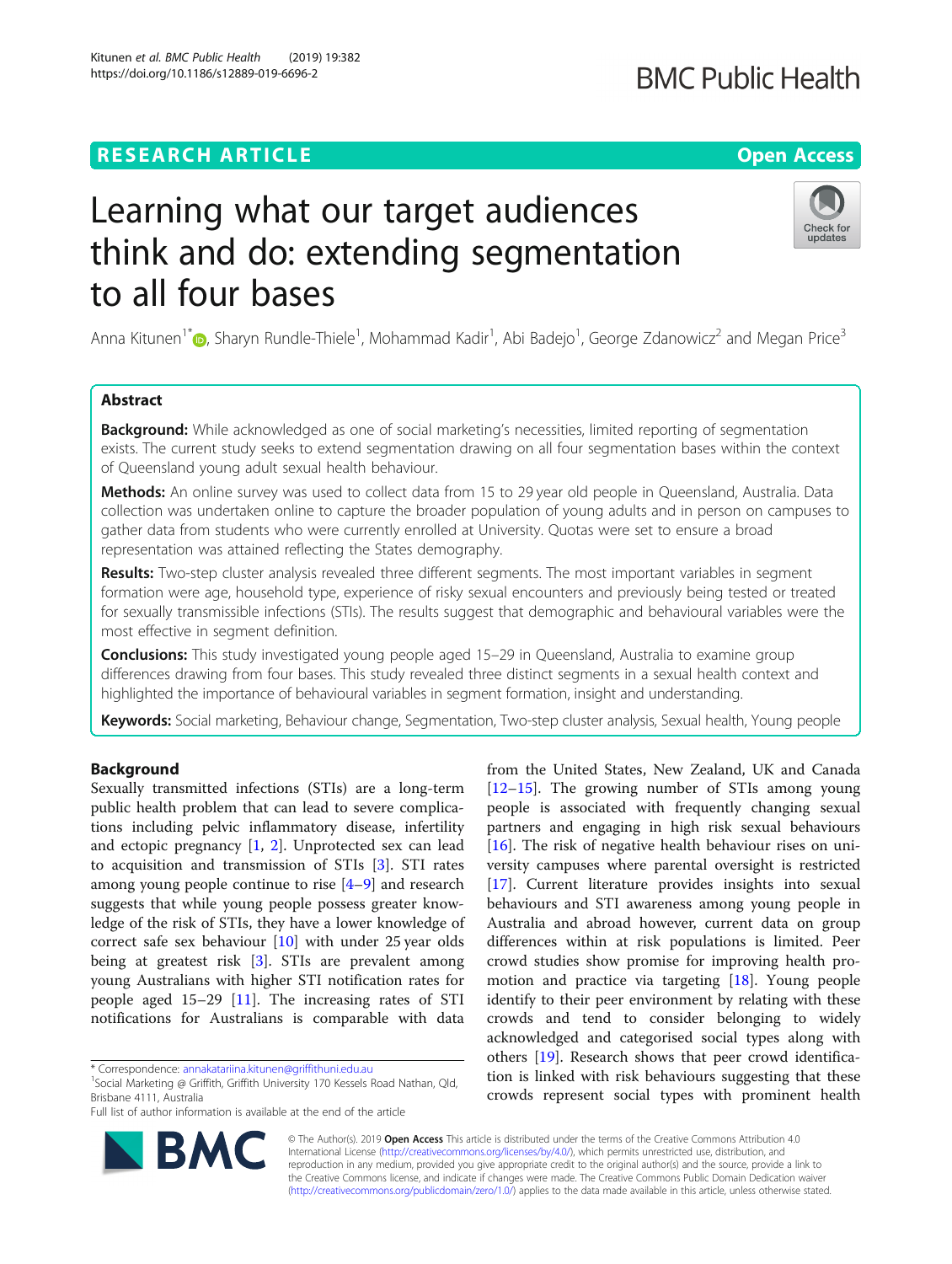# **RESEARCH ARTICLE Example 2014 Open Access**

# Learning what our target audiences think and do: extending segmentation to all four bases

Anna Kitunen<sup>1[\\*](http://orcid.org/0000-0002-9250-4219)</sup> (**b**, Sharyn Rundle-Thiele<sup>1</sup>, Mohammad Kadir<sup>1</sup>, Abi Badejo<sup>1</sup>, George Zdanowicz<sup>2</sup> and Megan Price<sup>3</sup>

## Abstract

**Background:** While acknowledged as one of social marketing's necessities, limited reporting of segmentation exists. The current study seeks to extend segmentation drawing on all four segmentation bases within the context of Queensland young adult sexual health behaviour.

Methods: An online survey was used to collect data from 15 to 29 year old people in Queensland, Australia. Data collection was undertaken online to capture the broader population of young adults and in person on campuses to gather data from students who were currently enrolled at University. Quotas were set to ensure a broad representation was attained reflecting the States demography.

Results: Two-step cluster analysis revealed three different segments. The most important variables in segment formation were age, household type, experience of risky sexual encounters and previously being tested or treated for sexually transmissible infections (STIs). The results suggest that demographic and behavioural variables were the most effective in segment definition.

**Conclusions:** This study investigated young people aged 15–29 in Queensland, Australia to examine group differences drawing from four bases. This study revealed three distinct segments in a sexual health context and highlighted the importance of behavioural variables in segment formation, insight and understanding.

Keywords: Social marketing, Behaviour change, Segmentation, Two-step cluster analysis, Sexual health, Young people

## Background

Sexually transmitted infections (STIs) are a long-term public health problem that can lead to severe complications including pelvic inflammatory disease, infertility and ectopic pregnancy [\[1](#page-7-0), [2](#page-7-0)]. Unprotected sex can lead to acquisition and transmission of STIs [\[3](#page-7-0)]. STI rates among young people continue to rise [\[4](#page-7-0)–[9](#page-8-0)] and research suggests that while young people possess greater knowledge of the risk of STIs, they have a lower knowledge of correct safe sex behaviour [[10\]](#page-8-0) with under 25 year olds being at greatest risk [[3\]](#page-7-0). STIs are prevalent among young Australians with higher STI notification rates for people aged 15–29 [[11\]](#page-8-0). The increasing rates of STI notifications for Australians is comparable with data

\* Correspondence: [annakatariina.kitunen@griffithuni.edu.au](mailto:annakatariina.kitunen@griffithuni.edu.au) <sup>1</sup>

<sup>1</sup>Social Marketing @ Griffith, Griffith University 170 Kessels Road Nathan, Qld, Brisbane 4111, Australia

Full list of author information is available at the end of the article

© The Author(s). 2019 Open Access This article is distributed under the terms of the Creative Commons Attribution 4.0 International License [\(http://creativecommons.org/licenses/by/4.0/](http://creativecommons.org/licenses/by/4.0/)), which permits unrestricted use, distribution, and reproduction in any medium, provided you give appropriate credit to the original author(s) and the source, provide a link to the Creative Commons license, and indicate if changes were made. The Creative Commons Public Domain Dedication waiver [\(http://creativecommons.org/publicdomain/zero/1.0/](http://creativecommons.org/publicdomain/zero/1.0/)) applies to the data made available in this article, unless otherwise stated.

[[12](#page-8-0)–[15](#page-8-0)]. The growing number of STIs among young people is associated with frequently changing sexual partners and engaging in high risk sexual behaviours [[16\]](#page-8-0). The risk of negative health behaviour rises on university campuses where parental oversight is restricted [[17\]](#page-8-0). Current literature provides insights into sexual behaviours and STI awareness among young people in Australia and abroad however, current data on group differences within at risk populations is limited. Peer crowd studies show promise for improving health promotion and practice via targeting [\[18\]](#page-8-0). Young people identify to their peer environment by relating with these crowds and tend to consider belonging to widely acknowledged and categorised social types along with others [\[19](#page-8-0)]. Research shows that peer crowd identification is linked with risk behaviours suggesting that these crowds represent social types with prominent health

from the United States, New Zealand, UK and Canada



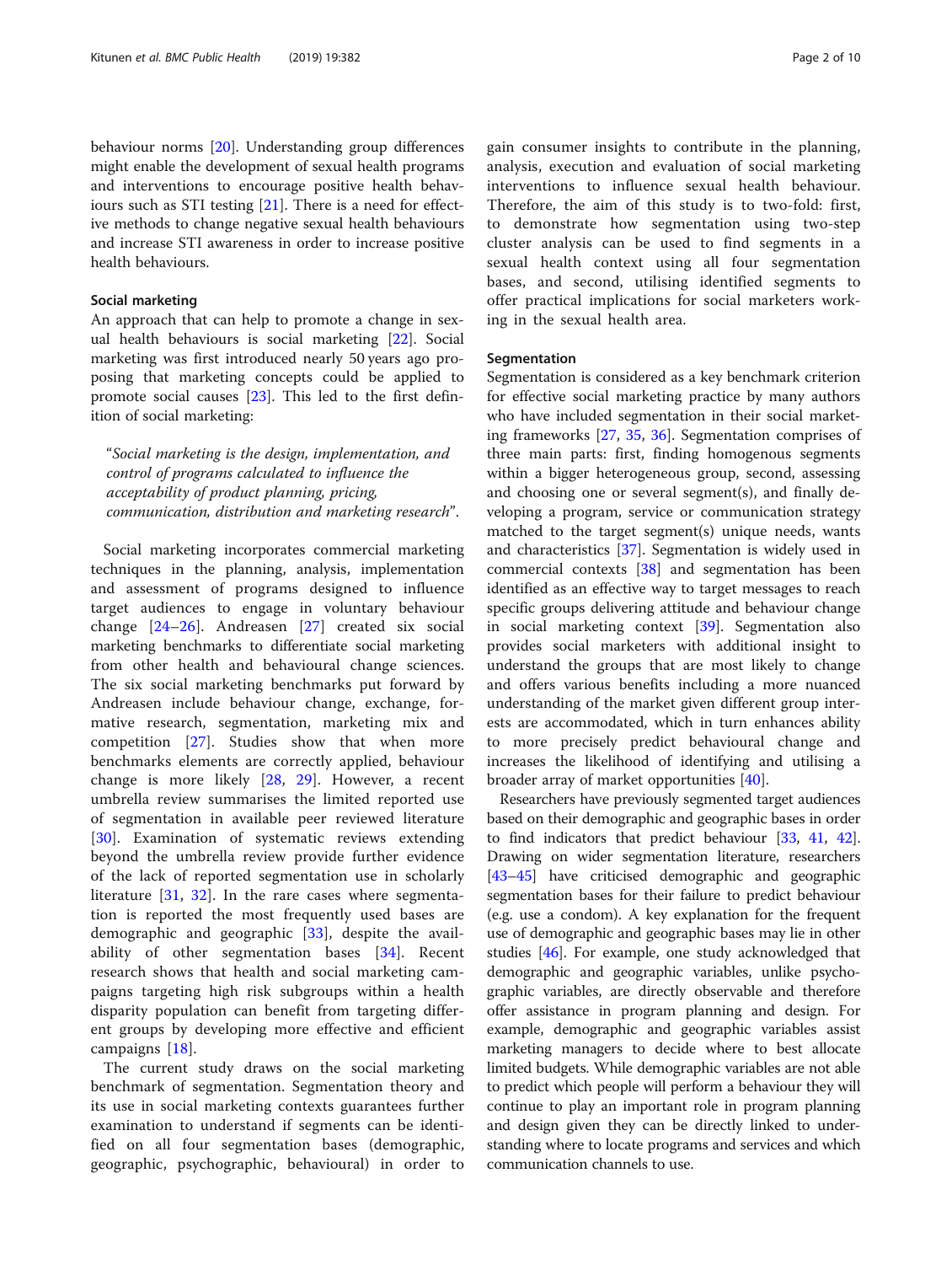behaviour norms [[20](#page-8-0)]. Understanding group differences might enable the development of sexual health programs and interventions to encourage positive health behaviours such as STI testing [\[21\]](#page-8-0). There is a need for effective methods to change negative sexual health behaviours and increase STI awareness in order to increase positive health behaviours.

#### Social marketing

An approach that can help to promote a change in sexual health behaviours is social marketing [[22\]](#page-8-0). Social marketing was first introduced nearly 50 years ago proposing that marketing concepts could be applied to promote social causes [\[23\]](#page-8-0). This led to the first definition of social marketing:

"Social marketing is the design, implementation, and control of programs calculated to influence the acceptability of product planning, pricing, communication, distribution and marketing research".

Social marketing incorporates commercial marketing techniques in the planning, analysis, implementation and assessment of programs designed to influence target audiences to engage in voluntary behaviour change [\[24](#page-8-0)–[26](#page-8-0)]. Andreasen [\[27](#page-8-0)] created six social marketing benchmarks to differentiate social marketing from other health and behavioural change sciences. The six social marketing benchmarks put forward by Andreasen include behaviour change, exchange, formative research, segmentation, marketing mix and competition [[27](#page-8-0)]. Studies show that when more benchmarks elements are correctly applied, behaviour change is more likely [\[28](#page-8-0), [29](#page-8-0)]. However, a recent umbrella review summarises the limited reported use of segmentation in available peer reviewed literature [[30\]](#page-8-0). Examination of systematic reviews extending beyond the umbrella review provide further evidence of the lack of reported segmentation use in scholarly literature [[31,](#page-8-0) [32\]](#page-8-0). In the rare cases where segmentation is reported the most frequently used bases are demographic and geographic [\[33\]](#page-8-0), despite the availability of other segmentation bases [[34\]](#page-8-0). Recent research shows that health and social marketing campaigns targeting high risk subgroups within a health disparity population can benefit from targeting different groups by developing more effective and efficient campaigns [[18\]](#page-8-0).

The current study draws on the social marketing benchmark of segmentation. Segmentation theory and its use in social marketing contexts guarantees further examination to understand if segments can be identified on all four segmentation bases (demographic, geographic, psychographic, behavioural) in order to gain consumer insights to contribute in the planning, analysis, execution and evaluation of social marketing interventions to influence sexual health behaviour. Therefore, the aim of this study is to two-fold: first, to demonstrate how segmentation using two-step cluster analysis can be used to find segments in a sexual health context using all four segmentation bases, and second, utilising identified segments to offer practical implications for social marketers working in the sexual health area.

#### Segmentation

Segmentation is considered as a key benchmark criterion for effective social marketing practice by many authors who have included segmentation in their social marketing frameworks [\[27,](#page-8-0) [35](#page-8-0), [36](#page-8-0)]. Segmentation comprises of three main parts: first, finding homogenous segments within a bigger heterogeneous group, second, assessing and choosing one or several segment(s), and finally developing a program, service or communication strategy matched to the target segment(s) unique needs, wants and characteristics [[37\]](#page-8-0). Segmentation is widely used in commercial contexts [\[38\]](#page-8-0) and segmentation has been identified as an effective way to target messages to reach specific groups delivering attitude and behaviour change in social marketing context [[39\]](#page-8-0). Segmentation also provides social marketers with additional insight to understand the groups that are most likely to change and offers various benefits including a more nuanced understanding of the market given different group interests are accommodated, which in turn enhances ability to more precisely predict behavioural change and increases the likelihood of identifying and utilising a broader array of market opportunities [\[40\]](#page-8-0).

Researchers have previously segmented target audiences based on their demographic and geographic bases in order to find indicators that predict behaviour [[33](#page-8-0), [41,](#page-8-0) [42](#page-8-0)]. Drawing on wider segmentation literature, researchers [[43](#page-8-0)–[45\]](#page-8-0) have criticised demographic and geographic segmentation bases for their failure to predict behaviour (e.g. use a condom). A key explanation for the frequent use of demographic and geographic bases may lie in other studies [[46](#page-8-0)]. For example, one study acknowledged that demographic and geographic variables, unlike psychographic variables, are directly observable and therefore offer assistance in program planning and design. For example, demographic and geographic variables assist marketing managers to decide where to best allocate limited budgets. While demographic variables are not able to predict which people will perform a behaviour they will continue to play an important role in program planning and design given they can be directly linked to understanding where to locate programs and services and which communication channels to use.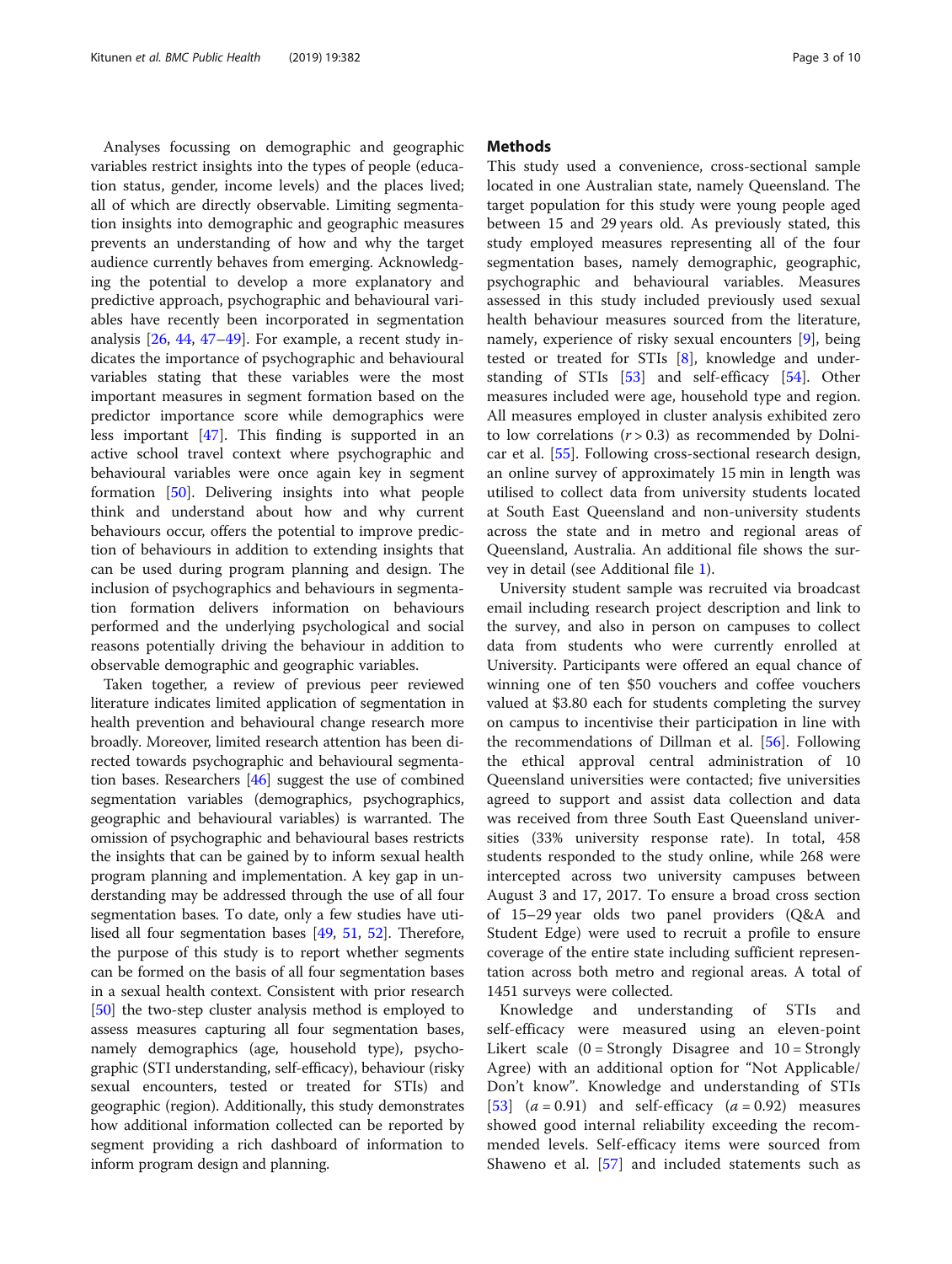Analyses focussing on demographic and geographic variables restrict insights into the types of people (education status, gender, income levels) and the places lived; all of which are directly observable. Limiting segmentation insights into demographic and geographic measures prevents an understanding of how and why the target audience currently behaves from emerging. Acknowledging the potential to develop a more explanatory and predictive approach, psychographic and behavioural variables have recently been incorporated in segmentation analysis [[26](#page-8-0), [44,](#page-8-0) [47](#page-8-0)–[49](#page-8-0)]. For example, a recent study indicates the importance of psychographic and behavioural variables stating that these variables were the most important measures in segment formation based on the predictor importance score while demographics were less important [\[47](#page-8-0)]. This finding is supported in an active school travel context where psychographic and behavioural variables were once again key in segment formation [[50\]](#page-8-0). Delivering insights into what people think and understand about how and why current behaviours occur, offers the potential to improve prediction of behaviours in addition to extending insights that can be used during program planning and design. The inclusion of psychographics and behaviours in segmentation formation delivers information on behaviours performed and the underlying psychological and social reasons potentially driving the behaviour in addition to observable demographic and geographic variables.

Taken together, a review of previous peer reviewed literature indicates limited application of segmentation in health prevention and behavioural change research more broadly. Moreover, limited research attention has been directed towards psychographic and behavioural segmentation bases. Researchers [\[46\]](#page-8-0) suggest the use of combined segmentation variables (demographics, psychographics, geographic and behavioural variables) is warranted. The omission of psychographic and behavioural bases restricts the insights that can be gained by to inform sexual health program planning and implementation. A key gap in understanding may be addressed through the use of all four segmentation bases. To date, only a few studies have utilised all four segmentation bases [[49](#page-8-0), [51,](#page-8-0) [52\]](#page-8-0). Therefore, the purpose of this study is to report whether segments can be formed on the basis of all four segmentation bases in a sexual health context. Consistent with prior research [[50](#page-8-0)] the two-step cluster analysis method is employed to assess measures capturing all four segmentation bases, namely demographics (age, household type), psychographic (STI understanding, self-efficacy), behaviour (risky sexual encounters, tested or treated for STIs) and geographic (region). Additionally, this study demonstrates how additional information collected can be reported by segment providing a rich dashboard of information to inform program design and planning.

#### **Methods**

This study used a convenience, cross-sectional sample located in one Australian state, namely Queensland. The target population for this study were young people aged between 15 and 29 years old. As previously stated, this study employed measures representing all of the four segmentation bases, namely demographic, geographic, psychographic and behavioural variables. Measures assessed in this study included previously used sexual health behaviour measures sourced from the literature, namely, experience of risky sexual encounters [[9](#page-8-0)], being tested or treated for STIs [\[8](#page-8-0)], knowledge and understanding of STIs [\[53\]](#page-8-0) and self-efficacy [[54\]](#page-8-0). Other measures included were age, household type and region. All measures employed in cluster analysis exhibited zero to low correlations  $(r > 0.3)$  as recommended by Dolnicar et al. [\[55](#page-8-0)]. Following cross-sectional research design, an online survey of approximately 15 min in length was utilised to collect data from university students located at South East Queensland and non-university students across the state and in metro and regional areas of Queensland, Australia. An additional file shows the survey in detail (see Additional file [1](#page-7-0)).

University student sample was recruited via broadcast email including research project description and link to the survey, and also in person on campuses to collect data from students who were currently enrolled at University. Participants were offered an equal chance of winning one of ten \$50 vouchers and coffee vouchers valued at \$3.80 each for students completing the survey on campus to incentivise their participation in line with the recommendations of Dillman et al. [[56\]](#page-8-0). Following the ethical approval central administration of 10 Queensland universities were contacted; five universities agreed to support and assist data collection and data was received from three South East Queensland universities (33% university response rate). In total, 458 students responded to the study online, while 268 were intercepted across two university campuses between August 3 and 17, 2017. To ensure a broad cross section of 15–29 year olds two panel providers (Q&A and Student Edge) were used to recruit a profile to ensure coverage of the entire state including sufficient representation across both metro and regional areas. A total of 1451 surveys were collected.

Knowledge and understanding of STIs and self-efficacy were measured using an eleven-point Likert scale  $(0 =$  Strongly Disagree and  $10 =$  Strongly Agree) with an additional option for "Not Applicable/ Don't know". Knowledge and understanding of STIs [[53\]](#page-8-0)  $(a = 0.91)$  and self-efficacy  $(a = 0.92)$  measures showed good internal reliability exceeding the recommended levels. Self-efficacy items were sourced from Shaweno et al. [\[57](#page-8-0)] and included statements such as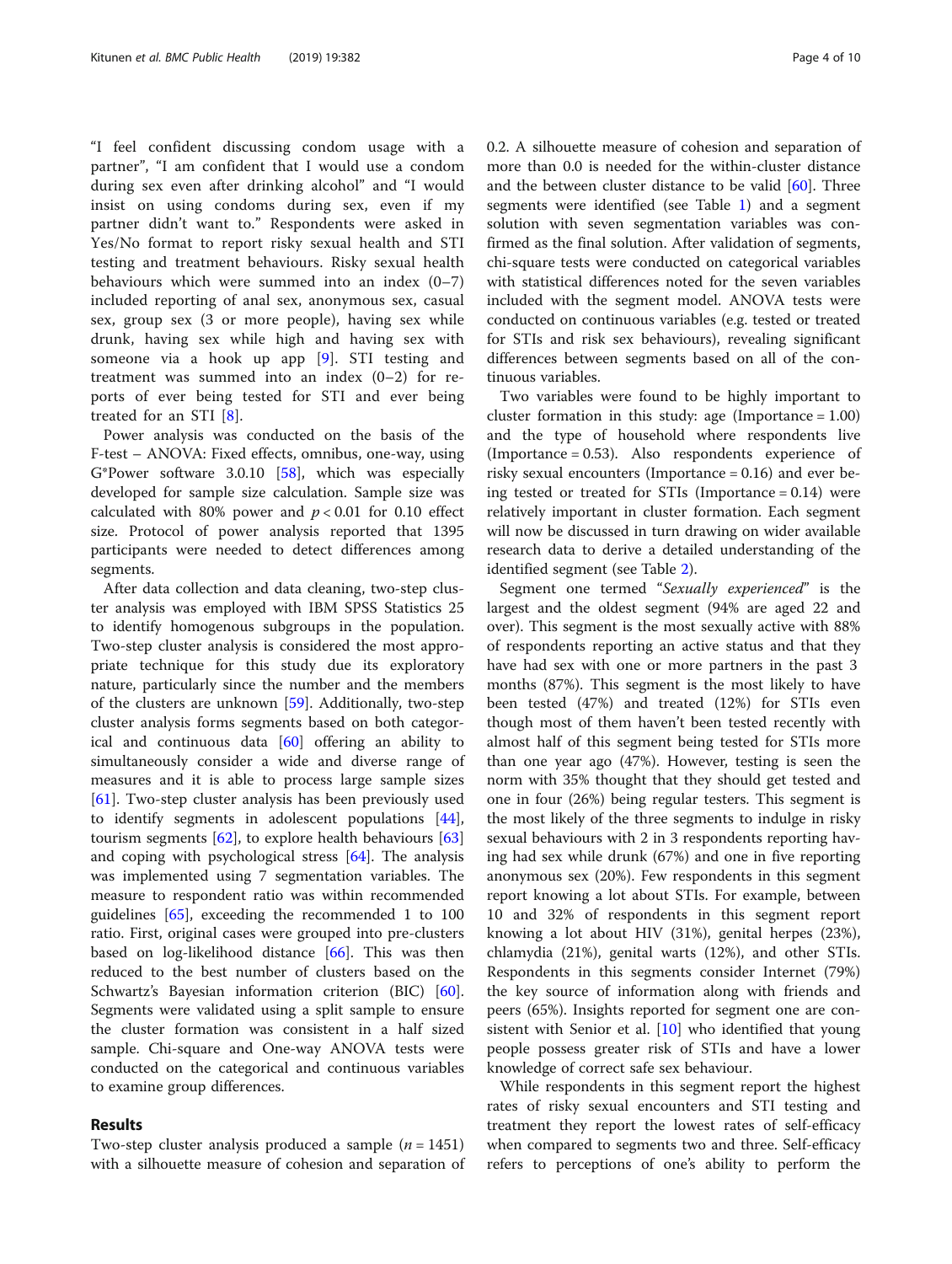"I feel confident discussing condom usage with a partner", "I am confident that I would use a condom during sex even after drinking alcohol" and "I would insist on using condoms during sex, even if my partner didn't want to." Respondents were asked in Yes/No format to report risky sexual health and STI testing and treatment behaviours. Risky sexual health behaviours which were summed into an index (0–7) included reporting of anal sex, anonymous sex, casual sex, group sex (3 or more people), having sex while drunk, having sex while high and having sex with someone via a hook up app [\[9](#page-8-0)]. STI testing and treatment was summed into an index (0–2) for reports of ever being tested for STI and ever being treated for an STI [[8\]](#page-8-0).

Power analysis was conducted on the basis of the F-test – ANOVA: Fixed effects, omnibus, one-way, using G\*Power software 3.0.10 [[58\]](#page-8-0), which was especially developed for sample size calculation. Sample size was calculated with 80% power and  $p < 0.01$  for 0.10 effect size. Protocol of power analysis reported that 1395 participants were needed to detect differences among segments.

After data collection and data cleaning, two-step cluster analysis was employed with IBM SPSS Statistics 25 to identify homogenous subgroups in the population. Two-step cluster analysis is considered the most appropriate technique for this study due its exploratory nature, particularly since the number and the members of the clusters are unknown [[59\]](#page-8-0). Additionally, two-step cluster analysis forms segments based on both categorical and continuous data [\[60](#page-9-0)] offering an ability to simultaneously consider a wide and diverse range of measures and it is able to process large sample sizes [[61\]](#page-9-0). Two-step cluster analysis has been previously used to identify segments in adolescent populations [\[44](#page-8-0)], tourism segments [[62\]](#page-9-0), to explore health behaviours [[63](#page-9-0)] and coping with psychological stress [\[64](#page-9-0)]. The analysis was implemented using 7 segmentation variables. The measure to respondent ratio was within recommended guidelines [[65\]](#page-9-0), exceeding the recommended 1 to 100 ratio. First, original cases were grouped into pre-clusters based on log-likelihood distance [\[66](#page-9-0)]. This was then reduced to the best number of clusters based on the Schwartz's Bayesian information criterion (BIC) [\[60](#page-9-0)]. Segments were validated using a split sample to ensure the cluster formation was consistent in a half sized sample. Chi-square and One-way ANOVA tests were conducted on the categorical and continuous variables to examine group differences.

#### Results

Two-step cluster analysis produced a sample  $(n = 1451)$ with a silhouette measure of cohesion and separation of

0.2. A silhouette measure of cohesion and separation of more than 0.0 is needed for the within-cluster distance and the between cluster distance to be valid [[60](#page-9-0)]. Three segments were identified (see Table [1](#page-4-0)) and a segment solution with seven segmentation variables was confirmed as the final solution. After validation of segments, chi-square tests were conducted on categorical variables with statistical differences noted for the seven variables included with the segment model. ANOVA tests were conducted on continuous variables (e.g. tested or treated for STIs and risk sex behaviours), revealing significant differences between segments based on all of the continuous variables.

Two variables were found to be highly important to cluster formation in this study: age (Importance  $= 1.00$ ) and the type of household where respondents live (Importance = 0.53). Also respondents experience of risky sexual encounters (Importance = 0.16) and ever being tested or treated for STIs (Importance  $= 0.14$ ) were relatively important in cluster formation. Each segment will now be discussed in turn drawing on wider available research data to derive a detailed understanding of the identified segment (see Table [2](#page-4-0)).

Segment one termed "Sexually experienced" is the largest and the oldest segment (94% are aged 22 and over). This segment is the most sexually active with 88% of respondents reporting an active status and that they have had sex with one or more partners in the past 3 months (87%). This segment is the most likely to have been tested (47%) and treated (12%) for STIs even though most of them haven't been tested recently with almost half of this segment being tested for STIs more than one year ago (47%). However, testing is seen the norm with 35% thought that they should get tested and one in four (26%) being regular testers. This segment is the most likely of the three segments to indulge in risky sexual behaviours with 2 in 3 respondents reporting having had sex while drunk (67%) and one in five reporting anonymous sex (20%). Few respondents in this segment report knowing a lot about STIs. For example, between 10 and 32% of respondents in this segment report knowing a lot about HIV (31%), genital herpes (23%), chlamydia (21%), genital warts (12%), and other STIs. Respondents in this segments consider Internet (79%) the key source of information along with friends and peers (65%). Insights reported for segment one are con-sistent with Senior et al. [[10\]](#page-8-0) who identified that young people possess greater risk of STIs and have a lower knowledge of correct safe sex behaviour.

While respondents in this segment report the highest rates of risky sexual encounters and STI testing and treatment they report the lowest rates of self-efficacy when compared to segments two and three. Self-efficacy refers to perceptions of one's ability to perform the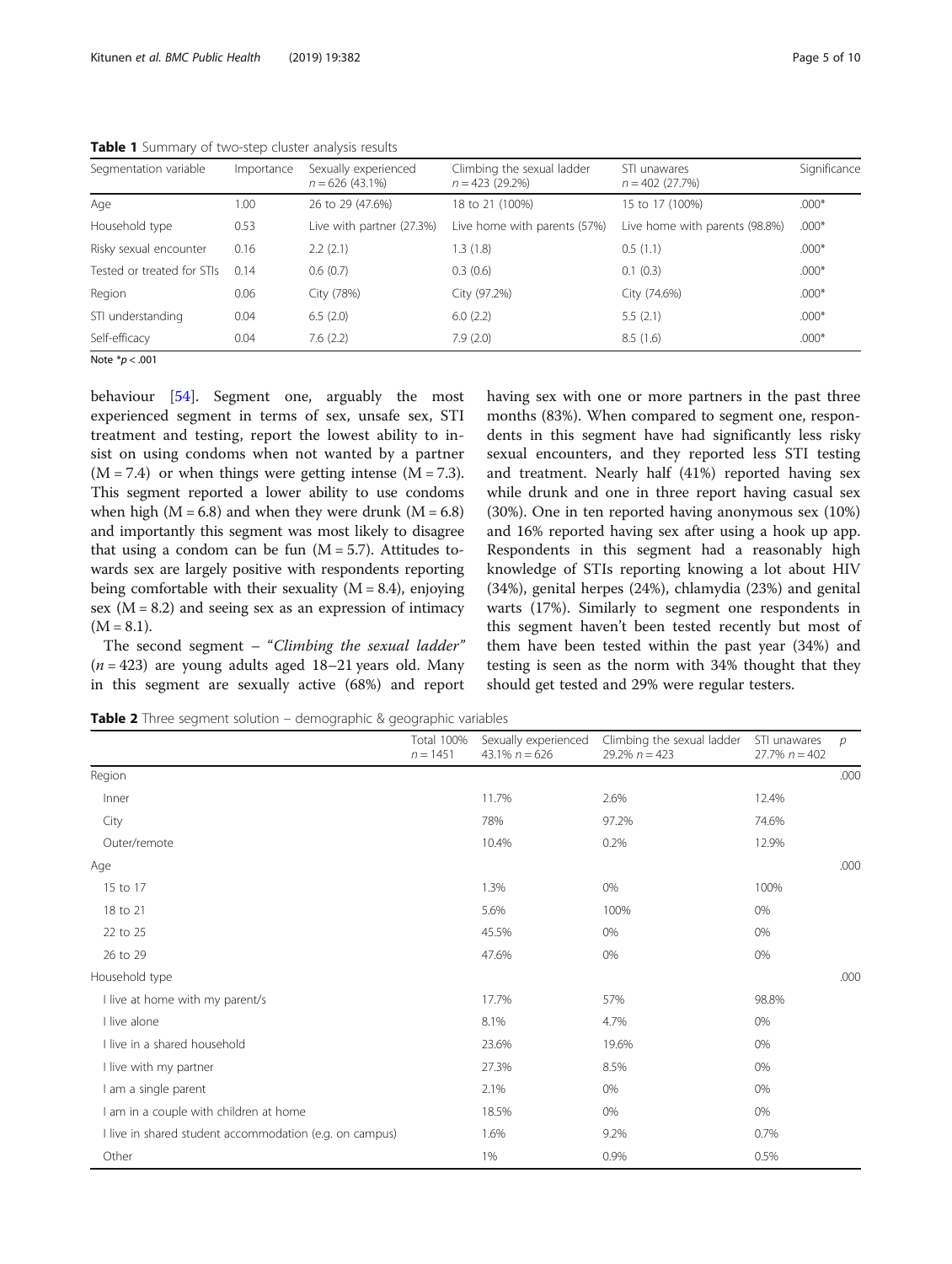| $.000*$ |
|---------|
|         |
| $.000*$ |
| $.000*$ |
| $.000*$ |
| $.000*$ |
| $.000*$ |
| $.000*$ |
|         |

<span id="page-4-0"></span>Table 1 Summary of two-step cluster analysis results

Note  $*_{p}$  < .001

behaviour [\[54](#page-8-0)]. Segment one, arguably the most experienced segment in terms of sex, unsafe sex, STI treatment and testing, report the lowest ability to insist on using condoms when not wanted by a partner  $(M = 7.4)$  or when things were getting intense  $(M = 7.3)$ . This segment reported a lower ability to use condoms when high  $(M = 6.8)$  and when they were drunk  $(M = 6.8)$ and importantly this segment was most likely to disagree that using a condom can be fun  $(M = 5.7)$ . Attitudes towards sex are largely positive with respondents reporting being comfortable with their sexuality  $(M = 8.4)$ , enjoying sex  $(M = 8.2)$  and seeing sex as an expression of intimacy  $(M = 8.1)$ .

The second segment – "Climbing the sexual ladder"  $(n = 423)$  are young adults aged 18–21 years old. Many in this segment are sexually active (68%) and report having sex with one or more partners in the past three months (83%). When compared to segment one, respondents in this segment have had significantly less risky sexual encounters, and they reported less STI testing and treatment. Nearly half (41%) reported having sex while drunk and one in three report having casual sex (30%). One in ten reported having anonymous sex (10%) and 16% reported having sex after using a hook up app. Respondents in this segment had a reasonably high knowledge of STIs reporting knowing a lot about HIV (34%), genital herpes (24%), chlamydia (23%) and genital warts (17%). Similarly to segment one respondents in this segment haven't been tested recently but most of them have been tested within the past year (34%) and testing is seen as the norm with 34% thought that they should get tested and 29% were regular testers.

**Table 2** Three segment solution – demographic & geographic variables

|                                                         | <b>Total 100%</b><br>$n = 1451$ | Sexually experienced<br>43.1% $n = 626$ | Climbing the sexual ladder<br>29.2% $n = 423$ | STI unawares<br>$27.7\% n = 402$ | р    |
|---------------------------------------------------------|---------------------------------|-----------------------------------------|-----------------------------------------------|----------------------------------|------|
| Region                                                  |                                 |                                         |                                               |                                  | .000 |
| Inner                                                   |                                 | 11.7%                                   | 2.6%                                          | 12.4%                            |      |
| City                                                    |                                 | 78%                                     | 97.2%                                         | 74.6%                            |      |
| Outer/remote                                            |                                 | 10.4%                                   | 0.2%                                          | 12.9%                            |      |
| Age                                                     |                                 |                                         |                                               |                                  | .000 |
| 15 to 17                                                |                                 | 1.3%                                    | 0%                                            | 100%                             |      |
| 18 to 21                                                |                                 | 5.6%                                    | 100%                                          | 0%                               |      |
| 22 to 25                                                |                                 | 45.5%                                   | $0\%$                                         | 0%                               |      |
| 26 to 29                                                |                                 | 47.6%                                   | 0%                                            | 0%                               |      |
| Household type                                          |                                 |                                         |                                               |                                  | .000 |
| I live at home with my parent/s                         |                                 | 17.7%                                   | 57%                                           | 98.8%                            |      |
| I live alone                                            |                                 | 8.1%                                    | 4.7%                                          | 0%                               |      |
| I live in a shared household                            |                                 | 23.6%                                   | 19.6%                                         | 0%                               |      |
| I live with my partner                                  |                                 | 27.3%                                   | 8.5%                                          | 0%                               |      |
| I am a single parent                                    |                                 | 2.1%                                    | 0%                                            | 0%                               |      |
| I am in a couple with children at home                  |                                 | 18.5%                                   | 0%                                            | 0%                               |      |
| I live in shared student accommodation (e.g. on campus) |                                 | 1.6%                                    | 9.2%                                          | 0.7%                             |      |
| Other                                                   |                                 | 1%                                      | 0.9%                                          | 0.5%                             |      |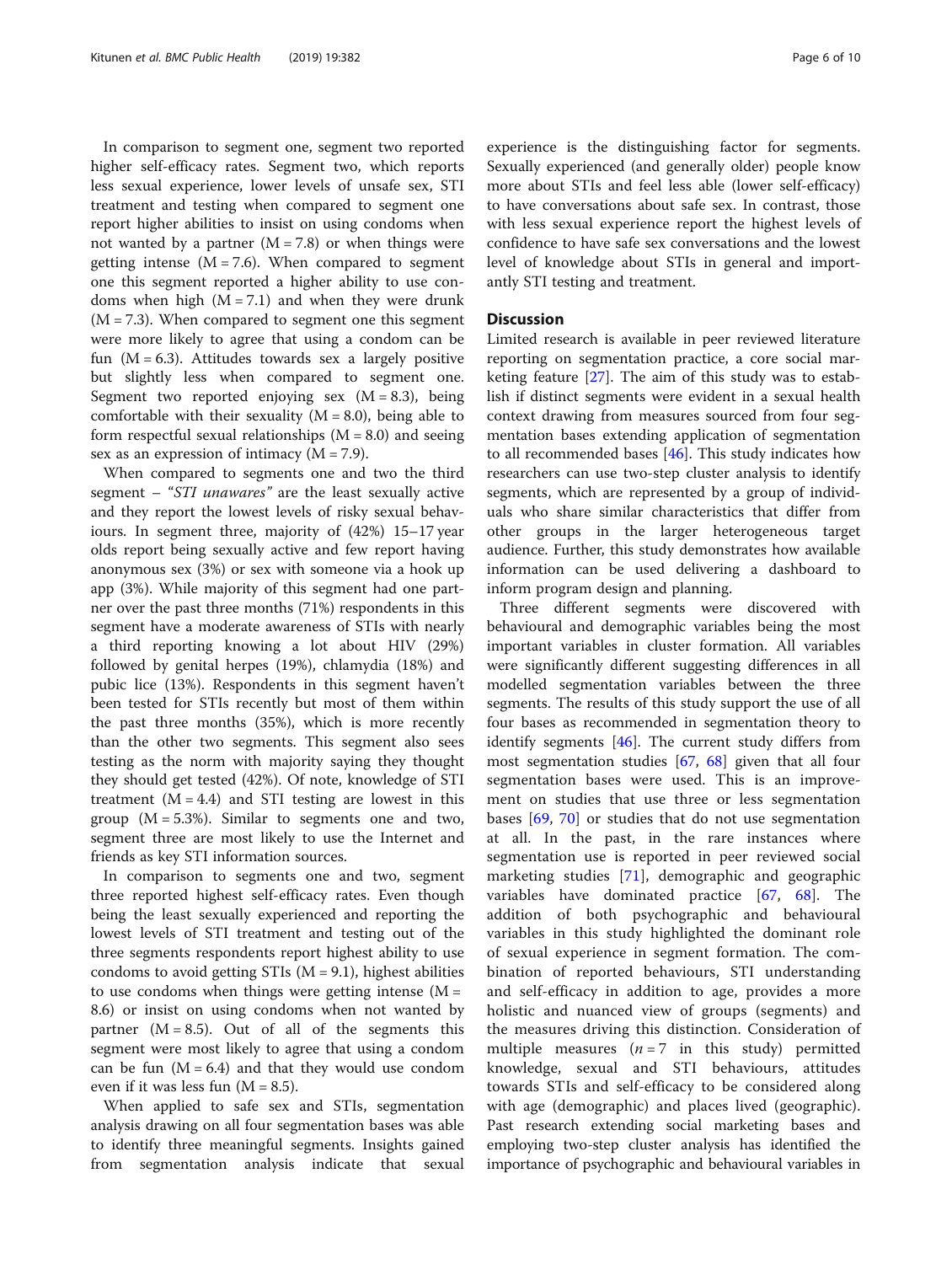In comparison to segment one, segment two reported higher self-efficacy rates. Segment two, which reports less sexual experience, lower levels of unsafe sex, STI treatment and testing when compared to segment one report higher abilities to insist on using condoms when not wanted by a partner  $(M = 7.8)$  or when things were getting intense  $(M = 7.6)$ . When compared to segment one this segment reported a higher ability to use condoms when high  $(M = 7.1)$  and when they were drunk  $(M = 7.3)$ . When compared to segment one this segment were more likely to agree that using a condom can be fun  $(M = 6.3)$ . Attitudes towards sex a largely positive but slightly less when compared to segment one. Segment two reported enjoying sex  $(M = 8.3)$ , being comfortable with their sexuality  $(M = 8.0)$ , being able to form respectful sexual relationships  $(M = 8.0)$  and seeing sex as an expression of intimacy  $(M = 7.9)$ .

When compared to segments one and two the third segment – "STI *unawares*" are the least sexually active and they report the lowest levels of risky sexual behaviours. In segment three, majority of (42%) 15–17 year olds report being sexually active and few report having anonymous sex (3%) or sex with someone via a hook up app (3%). While majority of this segment had one partner over the past three months (71%) respondents in this segment have a moderate awareness of STIs with nearly a third reporting knowing a lot about HIV (29%) followed by genital herpes (19%), chlamydia (18%) and pubic lice (13%). Respondents in this segment haven't been tested for STIs recently but most of them within the past three months (35%), which is more recently than the other two segments. This segment also sees testing as the norm with majority saying they thought they should get tested (42%). Of note, knowledge of STI treatment  $(M = 4.4)$  and STI testing are lowest in this group  $(M = 5.3\%)$ . Similar to segments one and two, segment three are most likely to use the Internet and friends as key STI information sources.

In comparison to segments one and two, segment three reported highest self-efficacy rates. Even though being the least sexually experienced and reporting the lowest levels of STI treatment and testing out of the three segments respondents report highest ability to use condoms to avoid getting  $STIs$  ( $M = 9.1$ ), highest abilities to use condoms when things were getting intense  $(M =$ 8.6) or insist on using condoms when not wanted by partner  $(M = 8.5)$ . Out of all of the segments this segment were most likely to agree that using a condom can be fun  $(M = 6.4)$  and that they would use condom even if it was less fun  $(M = 8.5)$ .

When applied to safe sex and STIs, segmentation analysis drawing on all four segmentation bases was able to identify three meaningful segments. Insights gained from segmentation analysis indicate that sexual experience is the distinguishing factor for segments. Sexually experienced (and generally older) people know more about STIs and feel less able (lower self-efficacy) to have conversations about safe sex. In contrast, those with less sexual experience report the highest levels of confidence to have safe sex conversations and the lowest level of knowledge about STIs in general and importantly STI testing and treatment.

#### **Discussion**

Limited research is available in peer reviewed literature reporting on segmentation practice, a core social marketing feature [[27\]](#page-8-0). The aim of this study was to establish if distinct segments were evident in a sexual health context drawing from measures sourced from four segmentation bases extending application of segmentation to all recommended bases [\[46\]](#page-8-0). This study indicates how researchers can use two-step cluster analysis to identify segments, which are represented by a group of individuals who share similar characteristics that differ from other groups in the larger heterogeneous target audience. Further, this study demonstrates how available information can be used delivering a dashboard to inform program design and planning.

Three different segments were discovered with behavioural and demographic variables being the most important variables in cluster formation. All variables were significantly different suggesting differences in all modelled segmentation variables between the three segments. The results of this study support the use of all four bases as recommended in segmentation theory to identify segments [[46\]](#page-8-0). The current study differs from most segmentation studies [[67](#page-9-0), [68](#page-9-0)] given that all four segmentation bases were used. This is an improvement on studies that use three or less segmentation bases [[69,](#page-9-0) [70](#page-9-0)] or studies that do not use segmentation at all. In the past, in the rare instances where segmentation use is reported in peer reviewed social marketing studies [[71\]](#page-9-0), demographic and geographic variables have dominated practice [[67](#page-9-0), [68\]](#page-9-0). The addition of both psychographic and behavioural variables in this study highlighted the dominant role of sexual experience in segment formation. The combination of reported behaviours, STI understanding and self-efficacy in addition to age, provides a more holistic and nuanced view of groups (segments) and the measures driving this distinction. Consideration of multiple measures ( $n = 7$  in this study) permitted knowledge, sexual and STI behaviours, attitudes towards STIs and self-efficacy to be considered along with age (demographic) and places lived (geographic). Past research extending social marketing bases and employing two-step cluster analysis has identified the importance of psychographic and behavioural variables in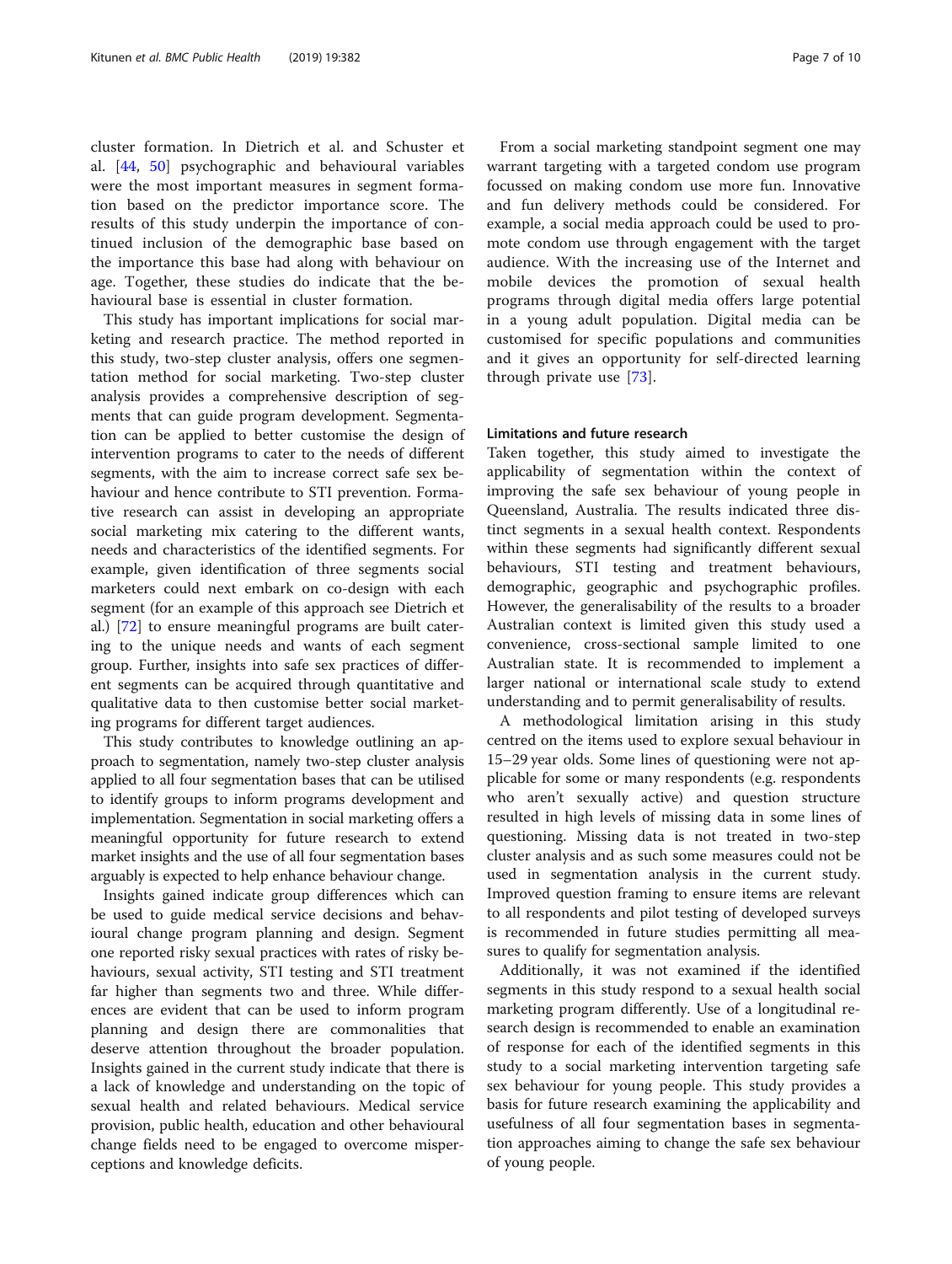cluster formation. In Dietrich et al. and Schuster et al. [\[44](#page-8-0), [50\]](#page-8-0) psychographic and behavioural variables were the most important measures in segment formation based on the predictor importance score. The results of this study underpin the importance of continued inclusion of the demographic base based on the importance this base had along with behaviour on age. Together, these studies do indicate that the behavioural base is essential in cluster formation.

This study has important implications for social marketing and research practice. The method reported in this study, two-step cluster analysis, offers one segmentation method for social marketing. Two-step cluster analysis provides a comprehensive description of segments that can guide program development. Segmentation can be applied to better customise the design of intervention programs to cater to the needs of different segments, with the aim to increase correct safe sex behaviour and hence contribute to STI prevention. Formative research can assist in developing an appropriate social marketing mix catering to the different wants, needs and characteristics of the identified segments. For example, given identification of three segments social marketers could next embark on co-design with each segment (for an example of this approach see Dietrich et al.) [[72\]](#page-9-0) to ensure meaningful programs are built catering to the unique needs and wants of each segment group. Further, insights into safe sex practices of different segments can be acquired through quantitative and qualitative data to then customise better social marketing programs for different target audiences.

This study contributes to knowledge outlining an approach to segmentation, namely two-step cluster analysis applied to all four segmentation bases that can be utilised to identify groups to inform programs development and implementation. Segmentation in social marketing offers a meaningful opportunity for future research to extend market insights and the use of all four segmentation bases arguably is expected to help enhance behaviour change.

Insights gained indicate group differences which can be used to guide medical service decisions and behavioural change program planning and design. Segment one reported risky sexual practices with rates of risky behaviours, sexual activity, STI testing and STI treatment far higher than segments two and three. While differences are evident that can be used to inform program planning and design there are commonalities that deserve attention throughout the broader population. Insights gained in the current study indicate that there is a lack of knowledge and understanding on the topic of sexual health and related behaviours. Medical service provision, public health, education and other behavioural change fields need to be engaged to overcome misperceptions and knowledge deficits.

From a social marketing standpoint segment one may warrant targeting with a targeted condom use program focussed on making condom use more fun. Innovative and fun delivery methods could be considered. For example, a social media approach could be used to promote condom use through engagement with the target audience. With the increasing use of the Internet and mobile devices the promotion of sexual health programs through digital media offers large potential in a young adult population. Digital media can be customised for specific populations and communities and it gives an opportunity for self-directed learning through private use [\[73](#page-9-0)].

## Limitations and future research

Taken together, this study aimed to investigate the applicability of segmentation within the context of improving the safe sex behaviour of young people in Queensland, Australia. The results indicated three distinct segments in a sexual health context. Respondents within these segments had significantly different sexual behaviours, STI testing and treatment behaviours, demographic, geographic and psychographic profiles. However, the generalisability of the results to a broader Australian context is limited given this study used a convenience, cross-sectional sample limited to one Australian state. It is recommended to implement a larger national or international scale study to extend understanding and to permit generalisability of results.

A methodological limitation arising in this study centred on the items used to explore sexual behaviour in 15–29 year olds. Some lines of questioning were not applicable for some or many respondents (e.g. respondents who aren't sexually active) and question structure resulted in high levels of missing data in some lines of questioning. Missing data is not treated in two-step cluster analysis and as such some measures could not be used in segmentation analysis in the current study. Improved question framing to ensure items are relevant to all respondents and pilot testing of developed surveys is recommended in future studies permitting all measures to qualify for segmentation analysis.

Additionally, it was not examined if the identified segments in this study respond to a sexual health social marketing program differently. Use of a longitudinal research design is recommended to enable an examination of response for each of the identified segments in this study to a social marketing intervention targeting safe sex behaviour for young people. This study provides a basis for future research examining the applicability and usefulness of all four segmentation bases in segmentation approaches aiming to change the safe sex behaviour of young people.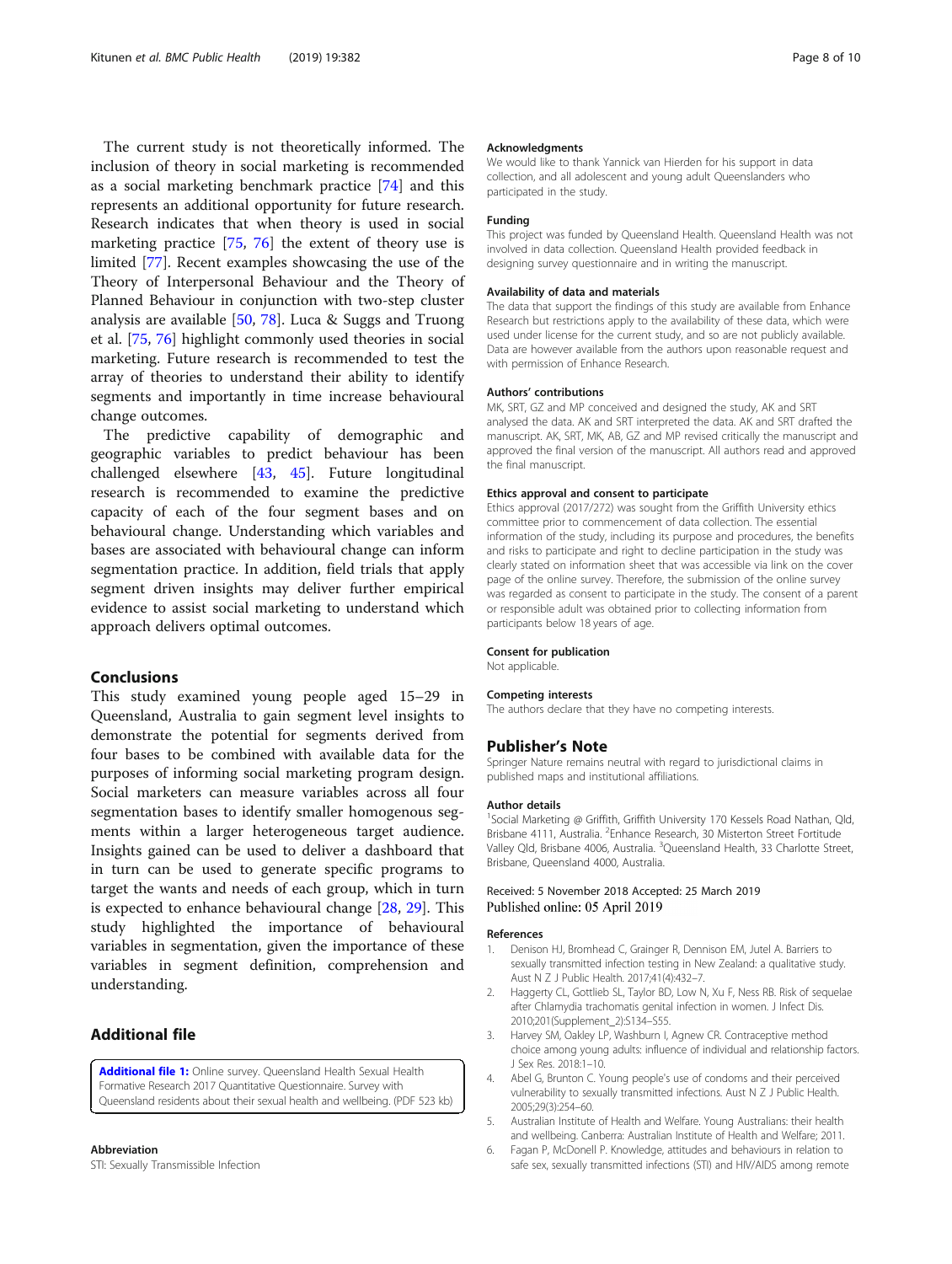<span id="page-7-0"></span>The current study is not theoretically informed. The inclusion of theory in social marketing is recommended as a social marketing benchmark practice [\[74](#page-9-0)] and this represents an additional opportunity for future research. Research indicates that when theory is used in social marketing practice [\[75](#page-9-0), [76\]](#page-9-0) the extent of theory use is limited [[77\]](#page-9-0). Recent examples showcasing the use of the Theory of Interpersonal Behaviour and the Theory of Planned Behaviour in conjunction with two-step cluster analysis are available [\[50,](#page-8-0) [78](#page-9-0)]. Luca & Suggs and Truong et al. [[75](#page-9-0), [76](#page-9-0)] highlight commonly used theories in social marketing. Future research is recommended to test the array of theories to understand their ability to identify segments and importantly in time increase behavioural change outcomes.

The predictive capability of demographic and geographic variables to predict behaviour has been challenged elsewhere [[43,](#page-8-0) [45](#page-8-0)]. Future longitudinal research is recommended to examine the predictive capacity of each of the four segment bases and on behavioural change. Understanding which variables and bases are associated with behavioural change can inform segmentation practice. In addition, field trials that apply segment driven insights may deliver further empirical evidence to assist social marketing to understand which approach delivers optimal outcomes.

#### Conclusions

This study examined young people aged 15–29 in Queensland, Australia to gain segment level insights to demonstrate the potential for segments derived from four bases to be combined with available data for the purposes of informing social marketing program design. Social marketers can measure variables across all four segmentation bases to identify smaller homogenous segments within a larger heterogeneous target audience. Insights gained can be used to deliver a dashboard that in turn can be used to generate specific programs to target the wants and needs of each group, which in turn is expected to enhance behavioural change [\[28,](#page-8-0) [29\]](#page-8-0). This study highlighted the importance of behavioural variables in segmentation, given the importance of these variables in segment definition, comprehension and understanding.

## Additional file

[Additional file 1:](https://doi.org/10.1186/s12889-019-6696-2) Online survey. Queensland Health Sexual Health Formative Research 2017 Quantitative Questionnaire. Survey with Queensland residents about their sexual health and wellbeing. (PDF 523 kb)

# Abbreviation

STI: Sexually Transmissible Infection

#### Acknowledgments

We would like to thank Yannick van Hierden for his support in data collection, and all adolescent and young adult Queenslanders who participated in the study.

#### Funding

This project was funded by Queensland Health. Queensland Health was not involved in data collection. Queensland Health provided feedback in designing survey questionnaire and in writing the manuscript.

#### Availability of data and materials

The data that support the findings of this study are available from Enhance Research but restrictions apply to the availability of these data, which were used under license for the current study, and so are not publicly available. Data are however available from the authors upon reasonable request and with permission of Enhance Research.

#### Authors' contributions

MK, SRT, GZ and MP conceived and designed the study, AK and SRT analysed the data. AK and SRT interpreted the data. AK and SRT drafted the manuscript. AK, SRT, MK, AB, GZ and MP revised critically the manuscript and approved the final version of the manuscript. All authors read and approved the final manuscript.

#### Ethics approval and consent to participate

Ethics approval (2017/272) was sought from the Griffith University ethics committee prior to commencement of data collection. The essential information of the study, including its purpose and procedures, the benefits and risks to participate and right to decline participation in the study was clearly stated on information sheet that was accessible via link on the cover page of the online survey. Therefore, the submission of the online survey was regarded as consent to participate in the study. The consent of a parent or responsible adult was obtained prior to collecting information from participants below 18 years of age.

#### Consent for publication

Not applicable.

#### Competing interests

The authors declare that they have no competing interests.

#### Publisher's Note

Springer Nature remains neutral with regard to jurisdictional claims in published maps and institutional affiliations.

#### Author details

<sup>1</sup>Social Marketing @ Griffith, Griffith University 170 Kessels Road Nathan, Qld, Brisbane 4111, Australia. <sup>2</sup> Enhance Research, 30 Misterton Street Fortitude Valley Qld, Brisbane 4006, Australia. <sup>3</sup>Queensland Health, 33 Charlotte Street, Brisbane, Queensland 4000, Australia.

#### Received: 5 November 2018 Accepted: 25 March 2019 Published online: 05 April 2019

#### References

- 1. Denison HJ, Bromhead C, Grainger R, Dennison EM, Jutel A. Barriers to sexually transmitted infection testing in New Zealand: a qualitative study. Aust N Z J Public Health. 2017;41(4):432–7.
- 2. Haggerty CL, Gottlieb SL, Taylor BD, Low N, Xu F, Ness RB. Risk of sequelae after Chlamydia trachomatis genital infection in women. J Infect Dis. 2010;201(Supplement\_2):S134–S55.
- 3. Harvey SM, Oakley LP, Washburn I, Agnew CR. Contraceptive method choice among young adults: influence of individual and relationship factors. J Sex Res. 2018:1–10.
- 4. Abel G, Brunton C. Young people's use of condoms and their perceived vulnerability to sexually transmitted infections. Aust N Z J Public Health. 2005;29(3):254–60.
- 5. Australian Institute of Health and Welfare. Young Australians: their health and wellbeing. Canberra: Australian Institute of Health and Welfare; 2011.
- 6. Fagan P, McDonell P. Knowledge, attitudes and behaviours in relation to safe sex, sexually transmitted infections (STI) and HIV/AIDS among remote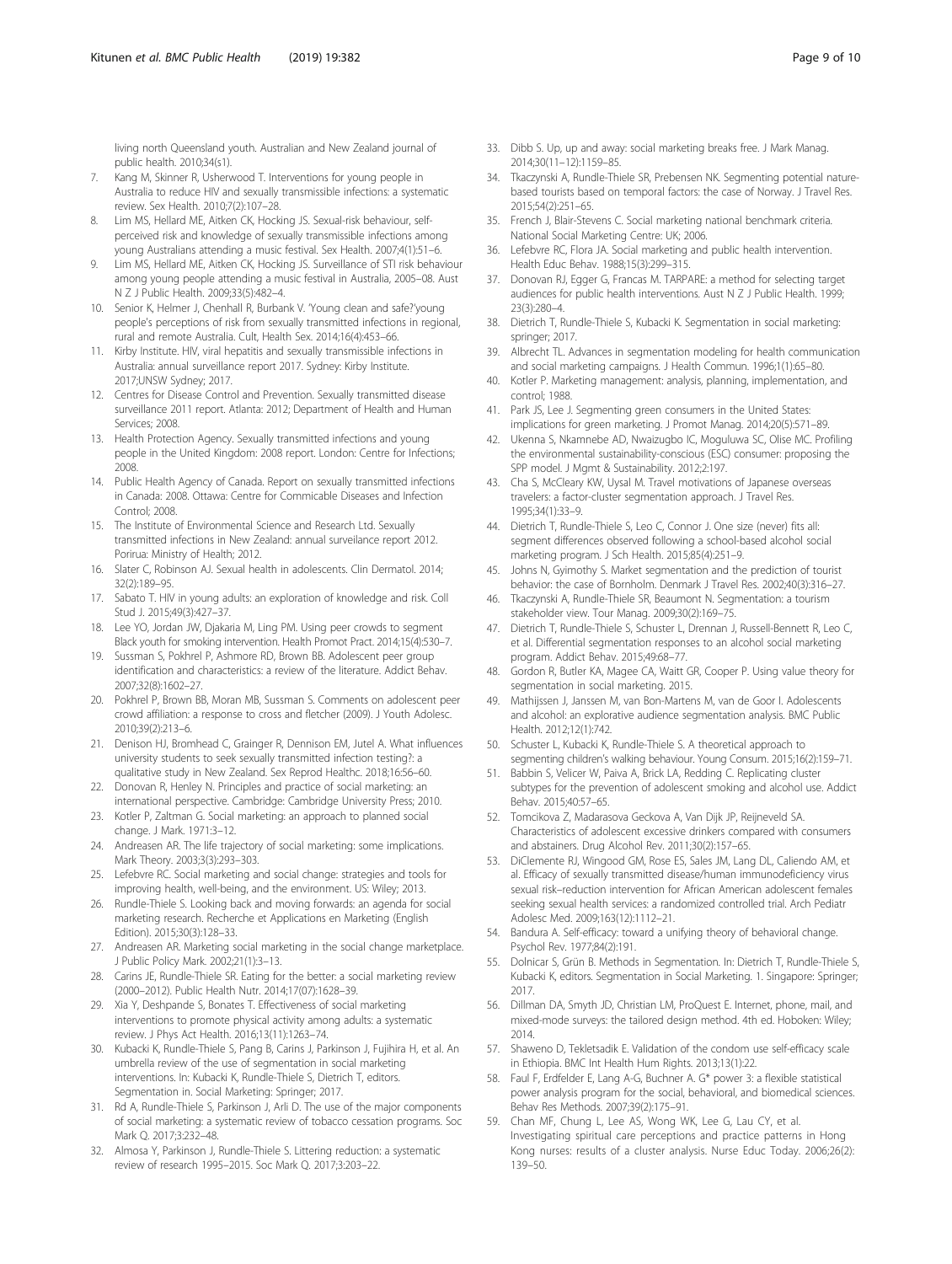<span id="page-8-0"></span>living north Queensland youth. Australian and New Zealand journal of public health. 2010;34(s1).

- 7. Kang M, Skinner R, Usherwood T. Interventions for young people in Australia to reduce HIV and sexually transmissible infections: a systematic review. Sex Health. 2010;7(2):107–28.
- 8. Lim MS, Hellard ME, Aitken CK, Hocking JS. Sexual-risk behaviour, selfperceived risk and knowledge of sexually transmissible infections among young Australians attending a music festival. Sex Health. 2007;4(1):51–6.
- 9. Lim MS, Hellard ME, Aitken CK, Hocking JS. Surveillance of STI risk behaviour among young people attending a music festival in Australia, 2005–08. Aust N Z J Public Health. 2009;33(5):482–4.
- 10. Senior K, Helmer J, Chenhall R, Burbank V. 'Young clean and safe?'young people's perceptions of risk from sexually transmitted infections in regional, rural and remote Australia. Cult, Health Sex. 2014;16(4):453–66.
- 11. Kirby Institute. HIV, viral hepatitis and sexually transmissible infections in Australia: annual surveillance report 2017. Sydney: Kirby Institute. 2017;UNSW Sydney; 2017.
- 12. Centres for Disease Control and Prevention. Sexually transmitted disease surveillance 2011 report. Atlanta: 2012; Department of Health and Human Services; 2008.
- 13. Health Protection Agency. Sexually transmitted infections and young people in the United Kingdom: 2008 report. London: Centre for Infections; 2008.
- 14. Public Health Agency of Canada. Report on sexually transmitted infections in Canada: 2008. Ottawa: Centre for Commicable Diseases and Infection Control; 2008.
- 15. The Institute of Environmental Science and Research Ltd. Sexually transmitted infections in New Zealand: annual surveilance report 2012. Porirua: Ministry of Health; 2012.
- 16. Slater C, Robinson AJ. Sexual health in adolescents. Clin Dermatol. 2014; 32(2):189–95.
- 17. Sabato T. HIV in young adults: an exploration of knowledge and risk. Coll Stud J. 2015;49(3):427–37.
- 18. Lee YO, Jordan JW, Djakaria M, Ling PM. Using peer crowds to segment Black youth for smoking intervention. Health Promot Pract. 2014;15(4):530–7.
- 19. Sussman S, Pokhrel P, Ashmore RD, Brown BB. Adolescent peer group identification and characteristics: a review of the literature. Addict Behav. 2007;32(8):1602–27.
- 20. Pokhrel P, Brown BB, Moran MB, Sussman S. Comments on adolescent peer crowd affiliation: a response to cross and fletcher (2009). J Youth Adolesc. 2010;39(2):213–6.
- 21. Denison HJ, Bromhead C, Grainger R, Dennison EM, Jutel A. What influences university students to seek sexually transmitted infection testing?: a qualitative study in New Zealand. Sex Reprod Healthc. 2018;16:56–60.
- 22. Donovan R, Henley N. Principles and practice of social marketing: an international perspective. Cambridge: Cambridge University Press; 2010.
- 23. Kotler P, Zaltman G. Social marketing: an approach to planned social change. J Mark. 1971:3–12.
- 24. Andreasen AR. The life trajectory of social marketing: some implications. Mark Theory. 2003;3(3):293–303.
- 25. Lefebvre RC. Social marketing and social change: strategies and tools for improving health, well-being, and the environment. US: Wiley; 2013.
- 26. Rundle-Thiele S. Looking back and moving forwards: an agenda for social marketing research. Recherche et Applications en Marketing (English Edition). 2015;30(3):128–33.
- 27. Andreasen AR. Marketing social marketing in the social change marketplace. J Public Policy Mark. 2002;21(1):3–13.
- 28. Carins JE, Rundle-Thiele SR. Eating for the better: a social marketing review (2000–2012). Public Health Nutr. 2014;17(07):1628–39.
- 29. Xia Y, Deshpande S, Bonates T. Effectiveness of social marketing interventions to promote physical activity among adults: a systematic review. J Phys Act Health. 2016;13(11):1263–74.
- 30. Kubacki K, Rundle-Thiele S, Pang B, Carins J, Parkinson J, Fujihira H, et al. An umbrella review of the use of segmentation in social marketing interventions. In: Kubacki K, Rundle-Thiele S, Dietrich T, editors. Segmentation in. Social Marketing: Springer; 2017.
- 31. Rd A, Rundle-Thiele S, Parkinson J, Arli D. The use of the major components of social marketing: a systematic review of tobacco cessation programs. Soc Mark Q. 2017;3:232–48.
- 32. Almosa Y, Parkinson J, Rundle-Thiele S. Littering reduction: a systematic review of research 1995–2015. Soc Mark Q. 2017;3:203–22.
- 33. Dibb S. Up, up and away: social marketing breaks free. J Mark Manag. 2014;30(11–12):1159–85.
- 34. Tkaczynski A, Rundle-Thiele SR, Prebensen NK. Segmenting potential naturebased tourists based on temporal factors: the case of Norway. J Travel Res. 2015;54(2):251–65.
- 35. French J, Blair-Stevens C. Social marketing national benchmark criteria. National Social Marketing Centre: UK; 2006.
- 36. Lefebvre RC, Flora JA. Social marketing and public health intervention. Health Educ Behav. 1988;15(3):299–315.
- 37. Donovan RJ, Egger G, Francas M. TARPARE: a method for selecting target audiences for public health interventions. Aust N Z J Public Health. 1999; 23(3):280–4.
- 38. Dietrich T, Rundle-Thiele S, Kubacki K. Segmentation in social marketing: springer; 2017.
- 39. Albrecht TL. Advances in segmentation modeling for health communication and social marketing campaigns. J Health Commun. 1996;1(1):65–80.
- 40. Kotler P. Marketing management: analysis, planning, implementation, and control; 1988.
- 41. Park JS, Lee J. Segmenting green consumers in the United States: implications for green marketing. J Promot Manag. 2014;20(5):571–89.
- 42. Ukenna S, Nkamnebe AD, Nwaizugbo IC, Moguluwa SC, Olise MC. Profiling the environmental sustainability-conscious (ESC) consumer: proposing the SPP model. J Mgmt & Sustainability. 2012;2:197.
- 43. Cha S, McCleary KW, Uysal M. Travel motivations of Japanese overseas travelers: a factor-cluster segmentation approach. J Travel Res. 1995;34(1):33–9.
- 44. Dietrich T, Rundle-Thiele S, Leo C, Connor J. One size (never) fits all: segment differences observed following a school-based alcohol social marketing program. J Sch Health. 2015;85(4):251–9.
- 45. Johns N, Gyimothy S. Market segmentation and the prediction of tourist behavior: the case of Bornholm. Denmark J Travel Res. 2002;40(3):316–27.
- 46. Tkaczynski A, Rundle-Thiele SR, Beaumont N. Segmentation: a tourism stakeholder view. Tour Manag. 2009;30(2):169–75.
- 47. Dietrich T, Rundle-Thiele S, Schuster L, Drennan J, Russell-Bennett R, Leo C, et al. Differential segmentation responses to an alcohol social marketing program. Addict Behav. 2015;49:68–77.
- 48. Gordon R, Butler KA, Magee CA, Waitt GR, Cooper P. Using value theory for segmentation in social marketing. 2015.
- 49. Mathijssen J, Janssen M, van Bon-Martens M, van de Goor I. Adolescents and alcohol: an explorative audience segmentation analysis. BMC Public Health. 2012;12(1):742.
- 50. Schuster L, Kubacki K, Rundle-Thiele S. A theoretical approach to segmenting children's walking behaviour. Young Consum. 2015;16(2):159–71.
- 51. Babbin S, Velicer W, Paiva A, Brick LA, Redding C. Replicating cluster subtypes for the prevention of adolescent smoking and alcohol use. Addict Behav. 2015;40:57–65.
- 52. Tomcikova Z, Madarasova Geckova A, Van Dijk JP, Reijneveld SA. Characteristics of adolescent excessive drinkers compared with consumers and abstainers. Drug Alcohol Rev. 2011;30(2):157–65.
- 53. DiClemente RJ, Wingood GM, Rose ES, Sales JM, Lang DL, Caliendo AM, et al. Efficacy of sexually transmitted disease/human immunodeficiency virus sexual risk–reduction intervention for African American adolescent females seeking sexual health services: a randomized controlled trial. Arch Pediatr Adolesc Med. 2009;163(12):1112–21.
- 54. Bandura A. Self-efficacy: toward a unifying theory of behavioral change. Psychol Rev. 1977;84(2):191.
- 55. Dolnicar S, Grün B. Methods in Segmentation. In: Dietrich T, Rundle-Thiele S, Kubacki K, editors. Segmentation in Social Marketing. 1. Singapore: Springer; 2017.
- 56. Dillman DA, Smyth JD, Christian LM, ProQuest E. Internet, phone, mail, and mixed-mode surveys: the tailored design method. 4th ed. Hoboken: Wiley; 2014.
- 57. Shaweno D, Tekletsadik E. Validation of the condom use self-efficacy scale in Ethiopia. BMC Int Health Hum Rights. 2013;13(1):22.
- 58. Faul F, Erdfelder E, Lang A-G, Buchner A. G\* power 3: a flexible statistical power analysis program for the social, behavioral, and biomedical sciences. Behav Res Methods. 2007;39(2):175–91.
- 59. Chan MF, Chung L, Lee AS, Wong WK, Lee G, Lau CY, et al. Investigating spiritual care perceptions and practice patterns in Hong Kong nurses: results of a cluster analysis. Nurse Educ Today. 2006;26(2): 139–50.